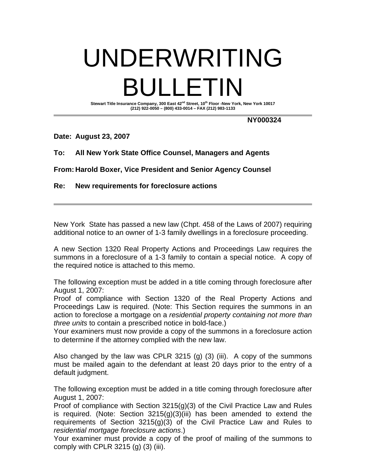# UNDERWRITING BULLETIN Stewart Title Insurance Company, 300 East 42<sup>nd</sup> Street, 10<sup>th</sup> Floor -New York, New York 10017

**(212) 922-0050 – (800) 433-0014 – FAX (212) 983-1133** 

**NY000324** 

**Date: August 23, 2007** 

**To: All New York State Office Counsel, Managers and Agents** 

**From: Harold Boxer, Vice President and Senior Agency Counsel** 

**Re: New requirements for foreclosure actions** 

New York State has passed a new law (Chpt. 458 of the Laws of 2007) requiring additional notice to an owner of 1-3 family dwellings in a foreclosure proceeding.

A new Section 1320 Real Property Actions and Proceedings Law requires the summons in a foreclosure of a 1-3 family to contain a special notice. A copy of the required notice is attached to this memo.

The following exception must be added in a title coming through foreclosure after August 1, 2007:

Proof of compliance with Section 1320 of the Real Property Actions and Proceedings Law is required. (Note: This Section requires the summons in an action to foreclose a mortgage on a *residential property containing not more than three units* to contain a prescribed notice in bold-face.)

Your examiners must now provide a copy of the summons in a foreclosure action to determine if the attorney complied with the new law.

Also changed by the law was CPLR 3215 (g) (3) (iii). A copy of the summons must be mailed again to the defendant at least 20 days prior to the entry of a default judgment.

The following exception must be added in a title coming through foreclosure after August 1, 2007:

Proof of compliance with Section 3215(g)(3) of the Civil Practice Law and Rules is required. (Note: Section  $3215(g)(3)(iii)$  has been amended to extend the requirements of Section 3215(g)(3) of the Civil Practice Law and Rules to *residential mortgage foreclosure actions*.)

Your examiner must provide a copy of the proof of mailing of the summons to comply with CPLR  $3215$  (q)  $(3)$  (iii).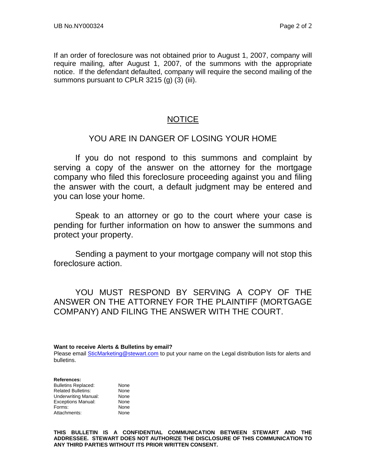If an order of foreclosure was not obtained prior to August 1, 2007, company will require mailing, after August 1, 2007, of the summons with the appropriate notice. If the defendant defaulted, company will require the second mailing of the summons pursuant to CPLR 3215 (g) (3) (iii).

# NOTICE

## YOU ARE IN DANGER OF LOSING YOUR HOME

If you do not respond to this summons and complaint by serving a copy of the answer on the attorney for the mortgage company who filed this foreclosure proceeding against you and filing the answer with the court, a default judgment may be entered and you can lose your home.

Speak to an attorney or go to the court where your case is pending for further information on how to answer the summons and protect your property.

Sending a payment to your mortgage company will not stop this foreclosure action.

YOU MUST RESPOND BY SERVING A COPY OF THE ANSWER ON THE ATTORNEY FOR THE PLAINTIFF (MORTGAGE COMPANY) AND FILING THE ANSWER WITH THE COURT.

**Want to receive Alerts & Bulletins by email?** 

Please email **SticMarketing@stewart.com** to put your name on the Legal distribution lists for alerts and bulletins.

#### **References:**

Bulletins Replaced: None<br>
Related Bulletins: None Related Bulletins: Underwriting Manual: None Exceptions Manual: None Forms: None<br>Attachments: None Attachments:

**THIS BULLETIN IS A CONFIDENTIAL COMMUNICATION BETWEEN STEWART AND THE ADDRESSEE. STEWART DOES NOT AUTHORIZE THE DISCLOSURE OF THIS COMMUNICATION TO ANY THIRD PARTIES WITHOUT ITS PRIOR WRITTEN CONSENT.**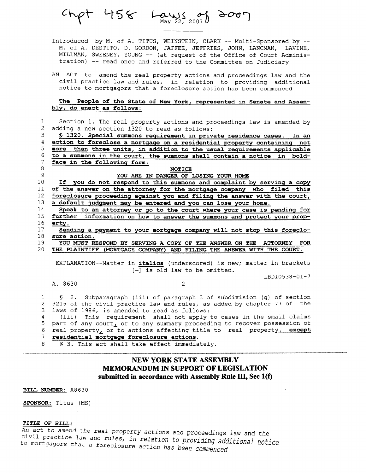$Chpt$  458  $Laws122, 2007}$  2007

Introduced by M. of A. TITUS, WEINSTEIN, CLARK -- Multi-Sponsored by --M. of A. DESTITO, D. GORDON, JAFFEE, JEFFRIES, JOHN, LANCMAN, LAVINE, MILLMAN, SWEENEY, YOUNG -- (at request of the Office of Court Administration) -- read once and referred to the Committee on Judiciary

AN ACT to amend the real property actions and proceedings law and the civil practice law and rules, in relation to providing additional notice to mortgagors that a foreclosure action has been commenced

#### The People of the State of New York, represented in Senate and Assembly, do enact as follows:

 $\mathbf 1$ Section 1. The real property actions and proceedings law is amended by  $\mathcal{D}$ adding a new section 1320 to read as follows: \$ 1320. Special summons requirement in private residence cases. In an 3

action to foreclose a mortgage on a residential property containing not 4 5 more than three units, in addition to the usual requirements applicable 6 to a summons in the court, the summons shall contain a notice in bold- $7<sup>1</sup>$ face in the following form: 8

### **NOTICE**

YOU ARE IN DANGER OF LOSING YOUR HOME

If you do not respond to this summons and complaint by serving a copy  $10<sup>°</sup>$ of the answer on the attorney for the mortgage company who filed this  $11$  $12<sup>7</sup>$ foreclosure proceeding against you and filing the answer with the court,  $13$ a default judgment may be entered and you can lose your home.

14 Speak to an attorney or go to the court where your case is pending for  $15$ further information on how to answer the summons and protect your prop- $16$ erty.

 $17$ Sending a payment to your mortgage company will not stop this foreclo-18 sure action.

YOU MUST RESPOND BY SERVING A COPY OF THE ANSWER ON THE ATTORNEY FOR 19 20 THE PLAINTIFF (MORTGAGE COMPANY) AND FILING THE ANSWER WITH THE COURT.

EXPLANATION--Matter in italics (underscored) is new; matter in brackets  $[-]$  is old law to be omitted.

A. 8630

9

 $\overline{2}$ 

LBD10538-01-7

\$ 2. Subparagraph (iii) of paragraph 3 of subdivision (g) of section  $\mathbf{1}$  $\mathfrak{D}$ 3215 of the civil practice law and rules, as added by chapter 77 of the  $3<sup>1</sup>$ laws of 1986, is amended to read as follows: (iii) This requirement shall not apply to cases in the small claims 4 5 part of any court, or to any summary proceeding to recover possession of 6 real property<sub>1</sub> or to actions affecting title to real property<sub>1</sub> except  $7<sup>7</sup>$ residential mortgage foreclosure actions.

 $\mathsf{R}^-$ \$ 3. This act shall take effect immediately.

## **NEW YORK STATE ASSEMBLY MEMORANDUM IN SUPPORT OF LEGISLATION** submitted in accordance with Assembly Rule III, Sec 1(f)

BILL NUMBER: A8630

SPONSOR: Titus (MS)

#### TITLE OF BILL:

An act to amend the real property actions and proceedings law and the civil practice law and rules, in relation to providing additional notice to mortgagors that a foreclosure action has been commenced